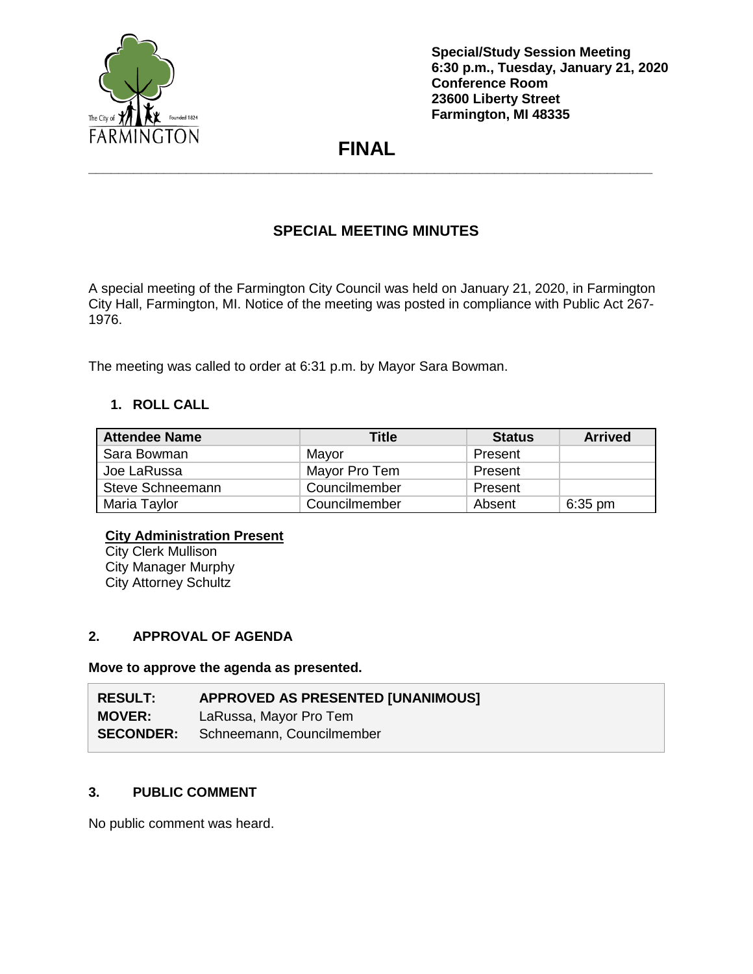

# **FINAL \_\_\_\_\_\_\_\_\_\_\_\_\_\_\_\_\_\_\_\_\_\_\_\_\_\_\_\_\_\_\_\_\_\_\_\_\_\_\_\_\_\_\_\_\_\_\_\_\_\_\_\_\_\_\_\_\_\_\_\_\_\_\_\_\_\_\_\_\_\_\_\_\_\_\_**

# **SPECIAL MEETING MINUTES**

A special meeting of the Farmington City Council was held on January 21, 2020, in Farmington City Hall, Farmington, MI. Notice of the meeting was posted in compliance with Public Act 267- 1976.

The meeting was called to order at 6:31 p.m. by Mayor Sara Bowman.

# **1. ROLL CALL**

| <b>Attendee Name</b> | Title         | <b>Status</b> | <b>Arrived</b> |
|----------------------|---------------|---------------|----------------|
| Sara Bowman          | Mayor         | Present       |                |
| Joe LaRussa          | Mayor Pro Tem | Present       |                |
| Steve Schneemann     | Councilmember | Present       |                |
| Maria Taylor         | Councilmember | Absent        | $6:35$ pm      |

#### **City Administration Present**

**City Clerk Mullison** City Manager Murphy City Attorney Schultz

# **2. APPROVAL OF AGENDA**

**Move to approve the agenda as presented.**

| <b>RESULT:</b>   | <b>APPROVED AS PRESENTED [UNANIMOUS]</b> |
|------------------|------------------------------------------|
| <b>MOVER:</b>    | LaRussa, Mayor Pro Tem                   |
| <b>SECONDER:</b> | Schneemann, Councilmember                |

# **3. PUBLIC COMMENT**

No public comment was heard.